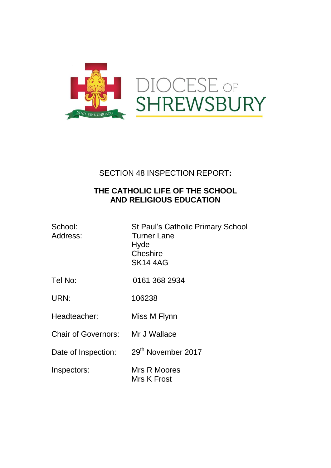

## SECTION 48 INSPECTION REPORT**:**

### **THE CATHOLIC LIFE OF THE SCHOOL AND RELIGIOUS EDUCATION**

| School:<br>Address:        | <b>St Paul's Catholic Primary School</b><br><b>Turner Lane</b><br>Hyde<br>Cheshire<br><b>SK14 4AG</b> |
|----------------------------|-------------------------------------------------------------------------------------------------------|
| Tel No:                    | 0161 368 2934                                                                                         |
| URN:                       | 106238                                                                                                |
| Headteacher:               | Miss M Flynn                                                                                          |
| <b>Chair of Governors:</b> | Mr J Wallace                                                                                          |
| Date of Inspection:        | 29 <sup>th</sup> November 2017                                                                        |
| Inspectors:                | Mrs R Moores<br>Mrs K Frost                                                                           |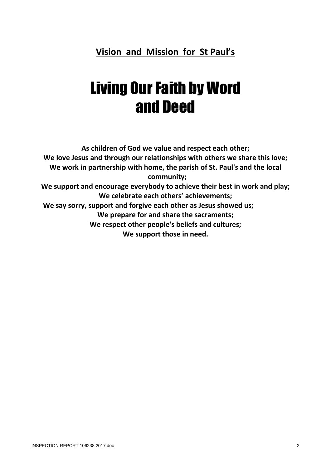## **Vision and Mission for St Paul's**

# **Living Our Faith by Word** and Deed

**As children of God we value and respect each other; We love Jesus and through our relationships with others we share this love; We work in partnership with home, the parish of St. Paul's and the local community; We support and encourage everybody to achieve their best in work and play; We celebrate each others' achievements; We say sorry, support and forgive each other as Jesus showed us; We prepare for and share the sacraments; We respect other people's beliefs and cultures; We support those in need.**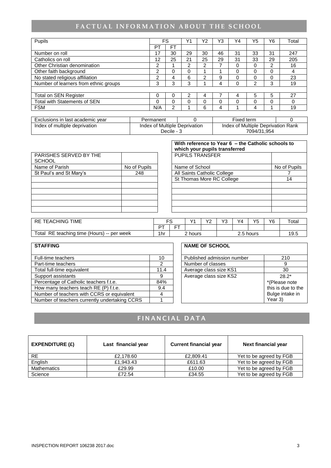## FACTUAL INFORMATION ABOUT THE SCHOOL

|     |    |    | Υ2 | Y3 | Υ4 | Y5 | Y6 | Total |
|-----|----|----|----|----|----|----|----|-------|
| PT  | FT |    |    |    |    |    |    |       |
| 17  | 30 | 29 | 30 | 46 | 31 | 33 | 31 | 247   |
| 12  | 25 | 21 | 25 | 29 | 31 | 33 | 29 | 205   |
| 2   |    | ⌒  | ົ  |    | 0  | 0  | ົ  | 16    |
| 2   | 0  |    |    |    | 0  | 0  | 0  | 4     |
| 2   | 4  | 6  | ⌒  | 9  | 0  | 0  | 0  | 23    |
| 3   | 3  | 3  |    | 4  |    | 2  | 3  | 19    |
|     |    |    |    |    |    |    |    |       |
|     | 0  | っ  | 4  |    | 4  | 5  | 5  | 27    |
| 0   | 0  |    | 0  | 0  | 0  | 0  | 0  |       |
| N/A | 2  |    | 6  | 4  |    | 4  |    | 19    |
|     |    | FS |    |    |    |    |    |       |

| Exclusions in last academic year                               | Permanent |  | Fixed term                         |  |
|----------------------------------------------------------------|-----------|--|------------------------------------|--|
| Index of multiple deprivation<br>Index of Multiple Deprivation |           |  | Index of Multiple Deprivation Rank |  |
|                                                                | Decile -  |  | 7094/31.954                        |  |

|                                         |              | With reference to Year 6 - the Catholic schools to<br>which your pupils transferred |              |  |  |  |
|-----------------------------------------|--------------|-------------------------------------------------------------------------------------|--------------|--|--|--|
| PARISHES SERVED BY THE<br><b>SCHOOL</b> |              | <b>PUPILS TRANSFER</b>                                                              |              |  |  |  |
| Name of Parish                          | No of Pupils | Name of School                                                                      | No of Pupils |  |  |  |
| St Paul's and St Mary's<br>248          |              | All Saints Catholic College                                                         |              |  |  |  |
|                                         |              | St Thomas More RC College                                                           | 14           |  |  |  |
|                                         |              |                                                                                     |              |  |  |  |
|                                         |              |                                                                                     |              |  |  |  |
|                                         |              |                                                                                     |              |  |  |  |
|                                         |              |                                                                                     |              |  |  |  |
|                                         |              |                                                                                     |              |  |  |  |

| <b>TIME</b><br><b>RE TEACHING</b>                | ∼        |         | $\sqrt{4}$ | $\sqrt{2}$<br>╺      | $\sqrt{2}$<br>ີ | Y4 | vπ | Y6   | $\tau$ otal |
|--------------------------------------------------|----------|---------|------------|----------------------|-----------------|----|----|------|-------------|
|                                                  | $\Gamma$ | --<br>– |            |                      |                 |    |    |      |             |
| time (Hours) -- per week<br>Total<br>RE teaching | 1hr      | 2 hours |            | <sup>ი</sup> 5 hours |                 |    |    | 19.5 |             |

| <b>STAFFING</b>                               |      | <b>NAME OF SCHOOL</b>      |             |
|-----------------------------------------------|------|----------------------------|-------------|
| Full-time teachers                            | 10   | Published admission number | 210         |
| Part-time teachers                            |      | Number of classes          | 9           |
| Total full-time equivalent                    | 11.4 | Average class size KS1     | 30          |
| Support assistants                            | 9    | Average class size KS2     | 28.2'       |
| Percentage of Catholic teachers f.t.e.        | 84%  |                            | *(Please no |
| How many teachers teach RE (P) f.t.e.         | 9.4  |                            | this is due |
| Number of teachers with CCRS or equivalent    | 4    |                            | Bulge intak |
| Number of teachers currently undertaking CCRS |      |                            | Year 3)     |

| <b>NAME OF SCHOOL</b>      |                    |
|----------------------------|--------------------|
| Published admission number | 210                |
| Number of classes          | g                  |
| Average class size KS1     | 30                 |
| Average class size KS2     | $28.2*$            |
|                            | *(Please note      |
|                            | this is due to the |
|                            | Bulge intake in    |
|                            | Year 3)            |

## **FINANCIAL DATA**

| EXPENDITURE $(E)$ | Last financial year | <b>Current financial year</b> | Next financial year     |
|-------------------|---------------------|-------------------------------|-------------------------|
| RE.               | £2,178.60           | £2,809.41                     | Yet to be agreed by FGB |
| English           | £1,943.43           | £611.63                       | Yet to be agreed by FGB |
| Mathematics       | £29.99              | £10.00                        | Yet to be agreed by FGB |
| Science           | £72.54              | £34.55                        | Yet to be agreed by FGB |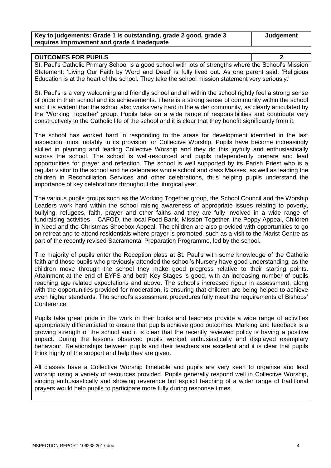| Key to judgements: Grade 1 is outstanding, grade 2 good, grade 3 | Judgement |
|------------------------------------------------------------------|-----------|
| requires improvement and grade 4 inadequate                      |           |

**OUTCOMES FOR PUPILS 2**

| <b>UUTUUMES FUN FUFILS</b>                                                                            |  |
|-------------------------------------------------------------------------------------------------------|--|
| St. Paul's Catholic Primary School is a good school with lots of strengths where the School's Mission |  |
| Statement: 'Living Our Faith by Word and Deed' is fully lived out. As one parent said: 'Religious     |  |
| Education is at the heart of the school. They take the school mission statement very seriously.       |  |

St. Paul's is a very welcoming and friendly school and all within the school rightly feel a strong sense of pride in their school and its achievements. There is a strong sense of community within the school and it is evident that the school also works very hard in the wider community, as clearly articulated by the 'Working Together' group. Pupils take on a wide range of responsibilities and contribute very constructively to the Catholic life of the school and it is clear that they benefit significantly from it.

The school has worked hard in responding to the areas for development identified in the last inspection, most notably in its provision for Collective Worship. Pupils have become increasingly skilled in planning and leading Collective Worship and they do this joyfully and enthusiastically across the school. The school is well-resourced and pupils independently prepare and lead opportunities for prayer and reflection. The school is well supported by its Parish Priest who is a regular visitor to the school and he celebrates whole school and class Masses, as well as leading the children in Reconciliation Services and other celebrations, thus helping pupils understand the importance of key celebrations throughout the liturgical year.

The various pupils groups such as the Working Together group, the School Council and the Worship Leaders work hard within the school raising awareness of appropriate issues relating to poverty, bullying, refugees, faith, prayer and other faiths and they are fully involved in a wide range of fundraising activities – CAFOD, the local Food Bank, Mission Together, the Poppy Appeal, Children in Need and the Christmas Shoebox Appeal. The children are also provided with opportunities to go on retreat and to attend residentials where prayer is promoted, such as a visit to the Marist Centre as part of the recently revised Sacramental Preparation Programme, led by the school.

The majority of pupils enter the Reception class at St. Paul's with some knowledge of the Catholic faith and those pupils who previously attended the school's Nursery have good understanding; as the children move through the school they make good progress relative to their starting points. Attainment at the end of EYFS and both Key Stages is good, with an increasing number of pupils reaching age related expectations and above. The school's increased rigour in assessment, along with the opportunities provided for moderation, is ensuring that children are being helped to achieve even higher standards. The school's assessment procedures fully meet the requirements of Bishops' Conference.

Pupils take great pride in the work in their books and teachers provide a wide range of activities appropriately differentiated to ensure that pupils achieve good outcomes. Marking and feedback is a growing strength of the school and it is clear that the recently reviewed policy is having a positive impact. During the lessons observed pupils worked enthusiastically and displayed exemplary behaviour. Relationships between pupils and their teachers are excellent and it is clear that pupils think highly of the support and help they are given.

All classes have a Collective Worship timetable and pupils are very keen to organise and lead worship using a variety of resources provided. Pupils generally respond well in Collective Worship, singing enthusiastically and showing reverence but explicit teaching of a wider range of traditional prayers would help pupils to participate more fully during response times.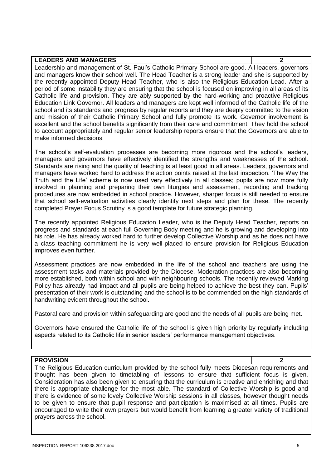| <b>LEADERS AND MANAGERS</b>                                                                              | າ |
|----------------------------------------------------------------------------------------------------------|---|
| Leadership and management of St. Paul's Catholic Primary School are good. All leaders, governors         |   |
| and managers know their school well. The Head Teacher is a strong leader and she is supported by         |   |
| the recently appointed Deputy Head Teacher, who is also the Religious Education Lead. After a            |   |
| period of some instability they are ensuring that the school is focused on improving in all areas of its |   |
| Catholic life and provision. They are ably supported by the hard-working and proactive Religious         |   |
| Education Link Governor. All leaders and managers are kept well informed of the Catholic life of the     |   |
| school and its standards and progress by regular reports and they are deeply committed to the vision     |   |
| and mission of their Catholic Primary School and fully promote its work. Governor involvement is         |   |
| excellent and the school benefits significantly from their care and commitment. They hold the school     |   |
| to account appropriately and regular senior leadership reports ensure that the Governors are able to     |   |
| make informed decisions.                                                                                 |   |

The school's self-evaluation processes are becoming more rigorous and the school's leaders, managers and governors have effectively identified the strengths and weaknesses of the school. Standards are rising and the quality of teaching is at least good in all areas. Leaders, governors and managers have worked hard to address the action points raised at the last inspection. 'The Way the Truth and the Life' scheme is now used very effectively in all classes; pupils are now more fully involved in planning and preparing their own liturgies and assessment, recording and tracking procedures are now embedded in school practice. However, sharper focus is still needed to ensure that school self-evaluation activities clearly identify next steps and plan for these. The recently completed Prayer Focus Scrutiny is a good template for future strategic planning.

The recently appointed Religious Education Leader, who is the Deputy Head Teacher, reports on progress and standards at each full Governing Body meeting and he is growing and developing into his role. He has already worked hard to further develop Collective Worship and as he does not have a class teaching commitment he is very well-placed to ensure provision for Religious Education improves even further.

Assessment practices are now embedded in the life of the school and teachers are using the assessment tasks and materials provided by the Diocese. Moderation practices are also becoming more established, both within school and with neighbouring schools. The recently reviewed Marking Policy has already had impact and all pupils are being helped to achieve the best they can. Pupils' presentation of their work is outstanding and the school is to be commended on the high standards of handwriting evident throughout the school.

Pastoral care and provision within safeguarding are good and the needs of all pupils are being met.

Governors have ensured the Catholic life of the school is given high priority by regularly including aspects related to its Catholic life in senior leaders' performance management objectives.

#### **PROVISION 2**

The Religious Education curriculum provided by the school fully meets Diocesan requirements and thought has been given to timetabling of lessons to ensure that sufficient focus is given. Consideration has also been given to ensuring that the curriculum is creative and enriching and that there is appropriate challenge for the most able. The standard of Collective Worship is good and there is evidence of some lovely Collective Worship sessions in all classes, however thought needs to be given to ensure that pupil response and participation is maximised at all times. Pupils are encouraged to write their own prayers but would benefit from learning a greater variety of traditional prayers across the school.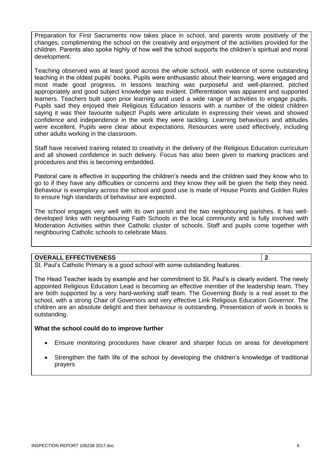Preparation for First Sacraments now takes place in school, and parents wrote positively of the changes, complimenting the school on the creativity and enjoyment of the activities provided for the children. Parents also spoke highly of how well the school supports the children's spiritual and moral development.

Teaching observed was at least good across the whole school, with evidence of some outstanding teaching in the oldest pupils' books. Pupils were enthusiastic about their learning, were engaged and most made good progress. In lessons teaching was purposeful and well-planned, pitched appropriately and good subject knowledge was evident. Differentiation was apparent and supported learners. Teachers built upon prior learning and used a wide range of activities to engage pupils. Pupils said they enjoyed their Religious Education lessons with a number of the oldest children saying it was their favourite subject! Pupils were articulate in expressing their views and showed confidence and independence in the work they were tackling. Learning behaviours and attitudes were excellent. Pupils were clear about expectations. Resources were used effectively, including other adults working in the classroom.

Staff have received training related to creativity in the delivery of the Religious Education curriculum and all showed confidence in such delivery. Focus has also been given to marking practices and procedures and this is becoming embedded.

Pastoral care is effective in supporting the children's needs and the children said they know who to go to if they have any difficulties or concerns and they know they will be given the help they need. Behaviour is exemplary across the school and good use is made of House Points and Golden Rules to ensure high standards of behaviour are expected.

The school engages very well with its own parish and the two neighbouring parishes. It has welldeveloped links with neighbouring Faith Schools in the local community and is fully involved with Moderation Activities within their Catholic cluster of schools. Staff and pupils come together with neighbouring Catholic schools to celebrate Mass.

#### **OVERALL EFFECTIVENESS 2**

St. Paul's Catholic Primary is a good school with some outstanding features.

The Head Teacher leads by example and her commitment to St. Paul's is clearly evident. The newly appointed Religious Education Lead is becoming an effective member of the leadership team. They are both supported by a very hard-working staff team. The Governing Body is a real asset to the school, with a strong Chair of Governors and very effective Link Religious Education Governor. The children are an absolute delight and their behaviour is outstanding. Presentation of work in books is outstanding.

#### **What the school could do to improve further**

- Ensure monitoring procedures have clearer and sharper focus on areas for development
- Strengthen the faith life of the school by developing the children's knowledge of traditional prayers